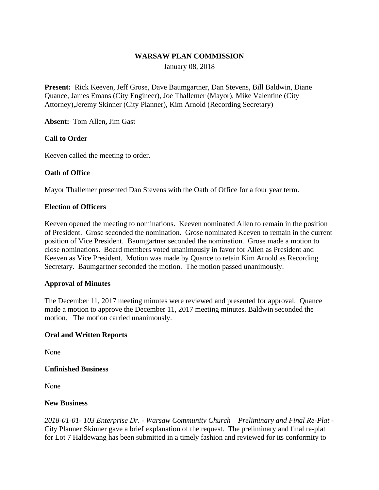## **WARSAW PLAN COMMISSION**

January 08, 2018

**Present:** Rick Keeven, Jeff Grose, Dave Baumgartner, Dan Stevens, Bill Baldwin, Diane Quance, James Emans (City Engineer), Joe Thallemer (Mayor), Mike Valentine (City Attorney),Jeremy Skinner (City Planner), Kim Arnold (Recording Secretary)

**Absent:** Tom Allen**,** Jim Gast

## **Call to Order**

Keeven called the meeting to order.

#### **Oath of Office**

Mayor Thallemer presented Dan Stevens with the Oath of Office for a four year term.

#### **Election of Officers**

Keeven opened the meeting to nominations. Keeven nominated Allen to remain in the position of President. Grose seconded the nomination. Grose nominated Keeven to remain in the current position of Vice President. Baumgartner seconded the nomination. Grose made a motion to close nominations. Board members voted unanimously in favor for Allen as President and Keeven as Vice President. Motion was made by Quance to retain Kim Arnold as Recording Secretary. Baumgartner seconded the motion. The motion passed unanimously.

#### **Approval of Minutes**

The December 11, 2017 meeting minutes were reviewed and presented for approval. Quance made a motion to approve the December 11, 2017 meeting minutes. Baldwin seconded the motion. The motion carried unanimously.

#### **Oral and Written Reports**

None

#### **Unfinished Business**

None

#### **New Business**

*2018-01-01- 103 Enterprise Dr. - Warsaw Community Church – Preliminary and Final Re-Plat -* City Planner Skinner gave a brief explanation of the request. The preliminary and final re-plat for Lot 7 Haldewang has been submitted in a timely fashion and reviewed for its conformity to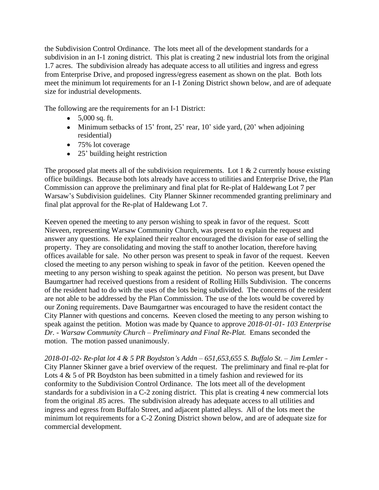the Subdivision Control Ordinance. The lots meet all of the development standards for a subdivision in an I-1 zoning district. This plat is creating 2 new industrial lots from the original 1.7 acres. The subdivision already has adequate access to all utilities and ingress and egress from Enterprise Drive, and proposed ingress/egress easement as shown on the plat. Both lots meet the minimum lot requirements for an I-1 Zoning District shown below, and are of adequate size for industrial developments.

The following are the requirements for an I-1 District:

- $5,000$  sq. ft.
- Minimum setbacks of 15' front, 25' rear, 10' side yard,  $(20)$ ' when adjoining residential)
- 75% lot coverage
- 25' building height restriction

The proposed plat meets all of the subdivision requirements. Lot  $1 \& 2$  currently house existing office buildings. Because both lots already have access to utilities and Enterprise Drive, the Plan Commission can approve the preliminary and final plat for Re-plat of Haldewang Lot 7 per Warsaw's Subdivision guidelines. City Planner Skinner recommended granting preliminary and final plat approval for the Re-plat of Haldewang Lot 7.

Keeven opened the meeting to any person wishing to speak in favor of the request. Scott Nieveen, representing Warsaw Community Church, was present to explain the request and answer any questions. He explained their realtor encouraged the division for ease of selling the property. They are consolidating and moving the staff to another location, therefore having offices available for sale. No other person was present to speak in favor of the request. Keeven closed the meeting to any person wishing to speak in favor of the petition. Keeven opened the meeting to any person wishing to speak against the petition. No person was present, but Dave Baumgartner had received questions from a resident of Rolling Hills Subdivision. The concerns of the resident had to do with the uses of the lots being subdivided. The concerns of the resident are not able to be addressed by the Plan Commission. The use of the lots would be covered by our Zoning requirements. Dave Baumgartner was encouraged to have the resident contact the City Planner with questions and concerns. Keeven closed the meeting to any person wishing to speak against the petition. Motion was made by Quance to approve *2018-01-01- 103 Enterprise Dr. - Warsaw Community Church – Preliminary and Final Re-Plat.* Emans seconded the motion. The motion passed unanimously.

*2018-01-02- Re-plat lot 4 & 5 PR Boydston's Addn – 651,653,655 S. Buffalo St. – Jim Lemler -*  City Planner Skinner gave a brief overview of the request. The preliminary and final re-plat for Lots  $4 \& 5$  of PR Boydston has been submitted in a timely fashion and reviewed for its conformity to the Subdivision Control Ordinance. The lots meet all of the development standards for a subdivision in a C-2 zoning district. This plat is creating 4 new commercial lots from the original .85 acres. The subdivision already has adequate access to all utilities and ingress and egress from Buffalo Street, and adjacent platted alleys. All of the lots meet the minimum lot requirements for a C-2 Zoning District shown below, and are of adequate size for commercial development.